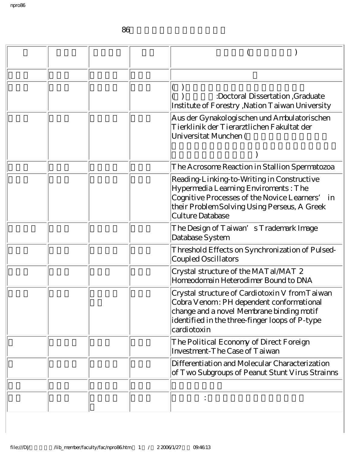86學年下學期新聘教師代表著作

|  |  | :Doctoral Dissertation, Graduate<br>Institute of Forestry, Nation Taiwan University                                                                                                                         |
|--|--|-------------------------------------------------------------------------------------------------------------------------------------------------------------------------------------------------------------|
|  |  | Aus der Gynakologischen und Ambulatorischen<br>Tierklinik der Tierarztlichen Fakultat der<br>Universitat Munchen (                                                                                          |
|  |  |                                                                                                                                                                                                             |
|  |  | The Acrosome Reaction in Stallion Spermatozoa                                                                                                                                                               |
|  |  | Reading-Linking-to-Writing in Constructive<br>Hypermedia Learning Enviroments: The<br>Cognitive Processes of the Novice Learners'<br>in<br>their Problem Solving Using Perseus, A Greek<br>Culture Database |
|  |  | The Design of Taiwan's Trademark Image<br>Database System                                                                                                                                                   |
|  |  | Threshold Effects on Synchronization of Pulsed-<br><b>Coupled Oscillators</b>                                                                                                                               |
|  |  | Crystal structure of the MAT al MAT 2<br>Homeodomain Heterodimer Bound to DNA                                                                                                                               |
|  |  | Crystal structure of Cardiotoxin V from Taiwan<br>Cobra Venom: PH dependent conformational<br>change and a novel Membrane binding motif<br>identified in the three-finger loops of P-type<br>cardiotoxin    |
|  |  | The Political Economy of Direct Foreign<br>Investment-The Case of Taiwan                                                                                                                                    |
|  |  | Differentiation and Molecular Characterization<br>of Two Subgroups of Peanut Stunt Virus Strainns                                                                                                           |
|  |  |                                                                                                                                                                                                             |
|  |  |                                                                                                                                                                                                             |